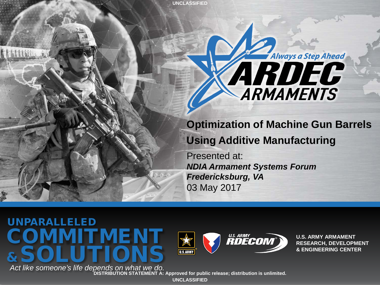# Always a Step Ahead ARDEC

#### **Optimization of Machine Gun Barrels Using Additive Manufacturing**

Presented at: *NDIA Armament Systems Forum Fredericksburg, VA* 03 May 2017

UNPARALLELED COMMITMENT &SOLUTIONS

**U.S. ARMY**<br>**RDECOM U.S.ARMY** 

**U.S. ARMY ARMAMENT RESEARCH, DEVELOPMENT & ENGINEERING CENTER**

*Act like someone's life depends on what we do.* **DISTRIBUTION STATEMENT A: Approved for public release; distribution is unlimited. UNCLASSIFIED**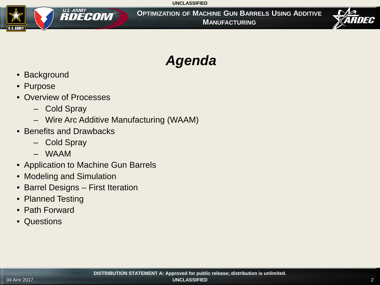

**OPTIMIZATION OF MACHINE GUN BARRELS USING ADDITIVE MANUFACTURING**



### *Agenda*

- Background
- Purpose
- Overview of Processes
	- Cold Spray
	- Wire Arc Additive Manufacturing (WAAM)
- Benefits and Drawbacks
	- Cold Spray
	- WAAM
- Application to Machine Gun Barrels
- Modeling and Simulation
- Barrel Designs First Iteration
- Planned Testing
- Path Forward
- Questions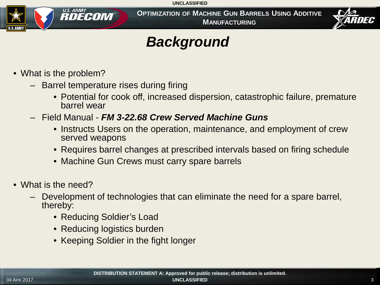

**OPTIMIZATION OF MACHINE GUN BARRELS USING ADDITIVE MANUFACTURING**



#### *Background*

- What is the problem?
	- Barrel temperature rises during firing
		- Potential for cook off, increased dispersion, catastrophic failure, premature barrel wear
	- Field Manual *FM 3-22.68 Crew Served Machine Guns*
		- Instructs Users on the operation, maintenance, and employment of crew served weapons
		- Requires barrel changes at prescribed intervals based on firing schedule
		- Machine Gun Crews must carry spare barrels
- What is the need?
	- Development of technologies that can eliminate the need for a spare barrel, thereby:
		- Reducing Soldier's Load
		- Reducing logistics burden
		- Keeping Soldier in the fight longer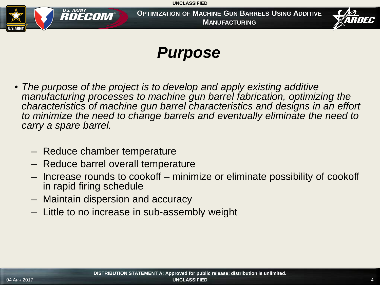

**OPTIMIZATION OF MACHINE GUN BARRELS USING ADDITIVE MANUFACTURING**



### *Purpose*

- *The purpose of the project is to develop and apply existing additive manufacturing processes to machine gun barrel fabrication, optimizing the characteristics of machine gun barrel characteristics and designs in an effort*  to minimize the need to change barrels and eventually eliminate the need to *carry a spare barrel.*
	- Reduce chamber temperature
	- Reduce barrel overall temperature
	- Increase rounds to cookoff minimize or eliminate possibility of cookoff in rapid firing schedule
	- Maintain dispersion and accuracy
	- Little to no increase in sub-assembly weight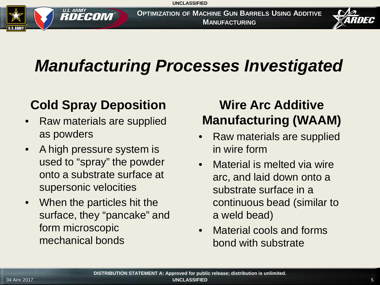

**OPTIMIZATION OF MACHINE GUN BARRELS USING ADDITIVE MANUFACTURING**



## *Manufacturing Processes Investigated*

#### **Cold Spray Deposition**

- Raw materials are supplied as powders
- A high pressure system is used to "spray" the powder onto a substrate surface at supersonic velocities
- When the particles hit the surface, they "pancake" and form microscopic mechanical bonds

#### **Wire Arc Additive Manufacturing (WAAM)**

- Raw materials are supplied in wire form
- Material is melted via wire arc, and laid down onto a substrate surface in a continuous bead (similar to a weld bead)
- Material cools and forms bond with substrate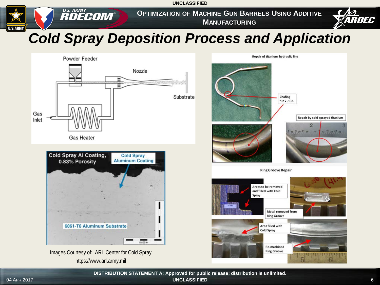**OPTIMIZATION OF MACHINE GUN BARRELS USING ADDITIVE MANUFACTURING**



#### *Cold Spray Deposition Process and Application*



**U.S. ARMY**<br>**RDECOM** 

Images Courtesy of: ARL Center for Cold Spray https://www.arl.army.mil



**UNCLASSIFIED** 04 APR 2017 **UNCLASSIFIED** 6 **DISTRIBUTION STATEMENT A: Approved for public release; distribution is unlimited.**

**U.S.ARMY**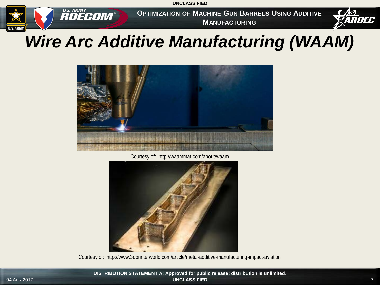

**OPTIMIZATION OF MACHINE GUN BARRELS USING ADDITIVE MANUFACTURING**



### *Wire Arc Additive Manufacturing (WAAM)*



Courtesy of: http://waammat.com/about/waam



Courtesy of: http://www.3dprinterworld.com/article/metal-additive-manufacturing-impact-aviation

**UNCLASSIFIED** 04 APR 2017 7 **DISTRIBUTION STATEMENT A: Approved for public release; distribution is unlimited.**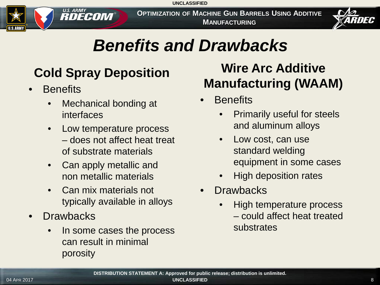

**OPTIMIZATION OF MACHINE GUN BARRELS USING ADDITIVE MANUFACTURING**



### *Benefits and Drawbacks*

### **Cold Spray Deposition**

- **Benefits** 
	- Mechanical bonding at interfaces
	- Low temperature process – does not affect heat treat of substrate materials
	- Can apply metallic and non metallic materials
	- Can mix materials not typically available in alloys
- Drawbacks
	- In some cases the process can result in minimal porosity

#### **Wire Arc Additive Manufacturing (WAAM)**

- **Benefits** 
	- Primarily useful for steels and aluminum alloys
	- Low cost, can use standard welding equipment in some cases
	- High deposition rates
- **Drawbacks** 
	- High temperature process – could affect heat treated substrates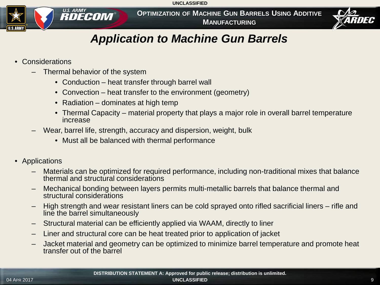**OPTIMIZATION OF MACHINE GUN BARRELS USING ADDITIVE MANUFACTURING**



#### *Application to Machine Gun Barrels*

• Considerations

**U.S.ARM** 

– Thermal behavior of the system

**U.S. ARMY**<br>**RDECOM** 

- Conduction heat transfer through barrel wall
- Convection heat transfer to the environment (geometry)
- Radiation dominates at high temp
- Thermal Capacity material property that plays a major role in overall barrel temperature increase
- Wear, barrel life, strength, accuracy and dispersion, weight, bulk
	- Must all be balanced with thermal performance
- Applications
	- Materials can be optimized for required performance, including non-traditional mixes that balance thermal and structural considerations
	- Mechanical bonding between layers permits multi-metallic barrels that balance thermal and structural considerations
	- High strength and wear resistant liners can be cold sprayed onto rifled sacrificial liners rifle and line the barrel simultaneously
	- Structural material can be efficiently applied via WAAM, directly to liner
	- Liner and structural core can be heat treated prior to application of jacket
	- Jacket material and geometry can be optimized to minimize barrel temperature and promote heat transfer out of the barrel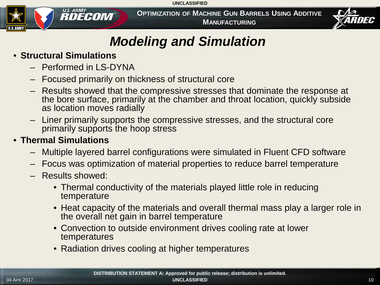

**OPTIMIZATION OF MACHINE GUN BARRELS USING ADDITIVE MANUFACTURING**



#### *Modeling and Simulation*

#### • **Structural Simulations**

- Performed in LS-DYNA
- Focused primarily on thickness of structural core
- Results showed that the compressive stresses that dominate the response at the bore surface, primarily at the chamber and throat location, quickly subside as location moves radially
- Liner primarily supports the compressive stresses, and the structural core primarily supports the hoop stress

#### • **Thermal Simulations**

- Multiple layered barrel configurations were simulated in Fluent CFD software
- Focus was optimization of material properties to reduce barrel temperature
- Results showed:
	- Thermal conductivity of the materials played little role in reducing temperature
	- Heat capacity of the materials and overall thermal mass play a larger role in the overall net gain in barrel temperature
	- Convection to outside environment drives cooling rate at lower temperatures
	- Radiation drives cooling at higher temperatures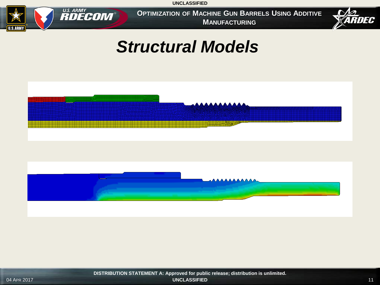

**OPTIMIZATION OF MACHINE GUN BARRELS USING ADDITIVE MANUFACTURING**



### *Structural Models*

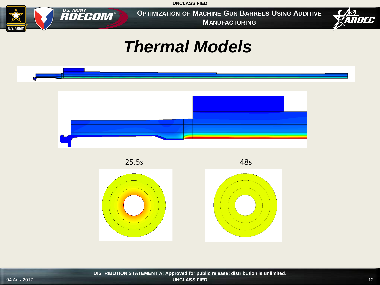

**OPTIMIZATION OF MACHINE GUN BARRELS USING ADDITIVE MANUFACTURING**



### *Thermal Models*

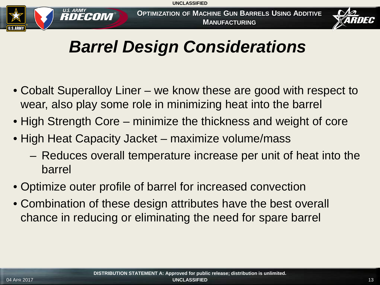

**OPTIMIZATION OF MACHINE GUN BARRELS USING ADDITIVE MANUFACTURING**



### *Barrel Design Considerations*

- Cobalt Superalloy Liner we know these are good with respect to wear, also play some role in minimizing heat into the barrel
- High Strength Core minimize the thickness and weight of core
- High Heat Capacity Jacket maximize volume/mass
	- Reduces overall temperature increase per unit of heat into the barrel
- Optimize outer profile of barrel for increased convection
- Combination of these design attributes have the best overall chance in reducing or eliminating the need for spare barrel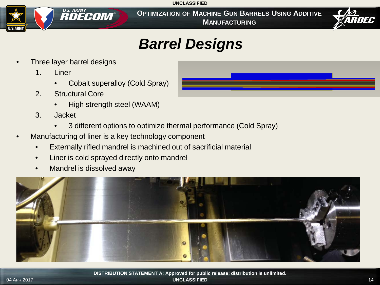**OPTIMIZATION OF MACHINE GUN BARRELS USING ADDITIVE MANUFACTURING**



#### *Barrel Designs*

Three layer barrel designs

U.S. ARMY **RDECOM** 

1. Liner

**U.S.AR** 

- Cobalt superalloy (Cold Spray)
- 2. Structural Core
	- High strength steel (WAAM)
- 3. Jacket
	- 3 different options to optimize thermal performance (Cold Spray)
- Manufacturing of liner is a key technology component
	- Externally rifled mandrel is machined out of sacrificial material
	- Liner is cold sprayed directly onto mandrel
	- Mandrel is dissolved away

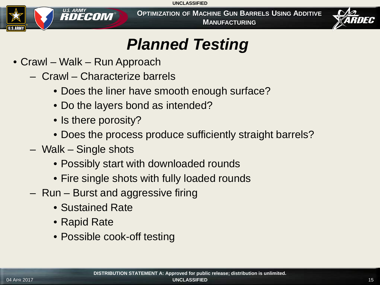

**OPTIMIZATION OF MACHINE GUN BARRELS USING ADDITIVE MANUFACTURING**



### *Planned Testing*

- Crawl Walk Run Approach
	- Crawl Characterize barrels
		- Does the liner have smooth enough surface?
		- Do the layers bond as intended?
		- Is there porosity?
		- Does the process produce sufficiently straight barrels?
	- Walk Single shots
		- Possibly start with downloaded rounds
		- Fire single shots with fully loaded rounds
	- Run Burst and aggressive firing
		- Sustained Rate
		- Rapid Rate
		- Possible cook-off testing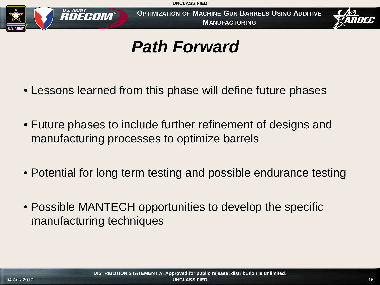

**OPTIMIZATION OF MACHINE GUN BARRELS USING ADDITIVE MANUFACTURING**



### *Path Forward*

- Lessons learned from this phase will define future phases
- Future phases to include further refinement of designs and manufacturing processes to optimize barrels
- Potential for long term testing and possible endurance testing
- Possible MANTECH opportunities to develop the specific manufacturing techniques